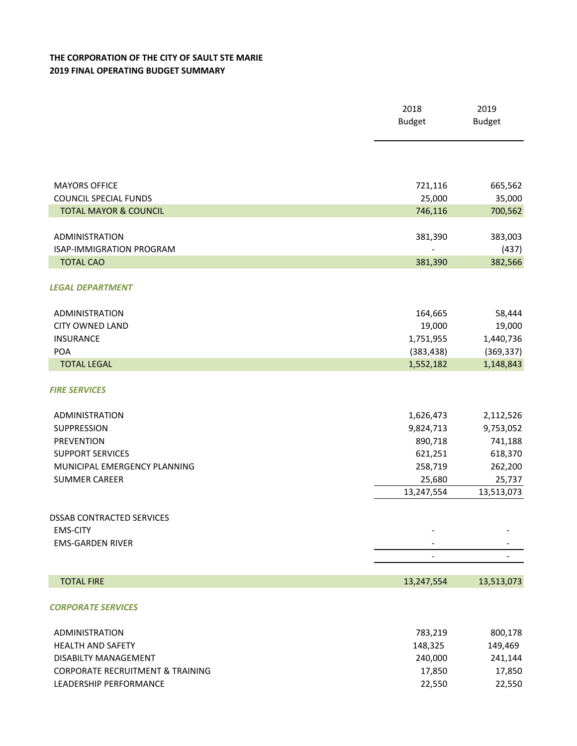## **THE CORPORATION OF THE CITY OF SAULT STE MARIE 2019 FINAL OPERATING BUDGET SUMMARY**

|                                                          | 2018<br><b>Budget</b> | 2019<br><b>Budget</b> |
|----------------------------------------------------------|-----------------------|-----------------------|
|                                                          |                       |                       |
| <b>MAYORS OFFICE</b>                                     | 721,116               | 665,562               |
| <b>COUNCIL SPECIAL FUNDS</b>                             | 25,000                | 35,000                |
| <b>TOTAL MAYOR &amp; COUNCIL</b>                         | 746,116               | 700,562               |
| <b>ADMINISTRATION</b><br><b>ISAP-IMMIGRATION PROGRAM</b> | 381,390               | 383,003<br>(437)      |
| <b>TOTAL CAO</b>                                         | 381,390               | 382,566               |
| <b>LEGAL DEPARTMENT</b>                                  |                       |                       |
| <b>ADMINISTRATION</b>                                    | 164,665               | 58,444                |
| <b>CITY OWNED LAND</b>                                   | 19,000                | 19,000                |
| <b>INSURANCE</b>                                         | 1,751,955             | 1,440,736             |
| <b>POA</b>                                               | (383, 438)            | (369, 337)            |
| <b>TOTAL LEGAL</b>                                       | 1,552,182             | 1,148,843             |
| <b>FIRE SERVICES</b>                                     |                       |                       |
| <b>ADMINISTRATION</b>                                    | 1,626,473             | 2,112,526             |
| SUPPRESSION                                              | 9,824,713             | 9,753,052             |
| <b>PREVENTION</b>                                        | 890,718               | 741,188               |
| <b>SUPPORT SERVICES</b>                                  | 621,251               | 618,370               |
| MUNICIPAL EMERGENCY PLANNING                             | 258,719               | 262,200               |
| <b>SUMMER CAREER</b>                                     | 25,680                | 25,737                |
|                                                          | 13,247,554            | 13,513,073            |
| <b>DSSAB CONTRACTED SERVICES</b>                         |                       |                       |
| <b>EMS-CITY</b>                                          |                       |                       |
| <b>EMS-GARDEN RIVER</b>                                  |                       |                       |
|                                                          |                       |                       |
| <b>TOTAL FIRE</b>                                        | 13,247,554            | 13,513,073            |
| <b>CORPORATE SERVICES</b>                                |                       |                       |
| <b>ADMINISTRATION</b>                                    | 783,219               | 800,178               |
| <b>HEALTH AND SAFETY</b>                                 | 148,325               | 149,469               |
| DISABILTY MANAGEMENT                                     | 240,000               | 241,144               |
| <b>CORPORATE RECRUITMENT &amp; TRAINING</b>              | 17,850                | 17,850                |
| LEADERSHIP PERFORMANCE                                   | 22,550                | 22,550                |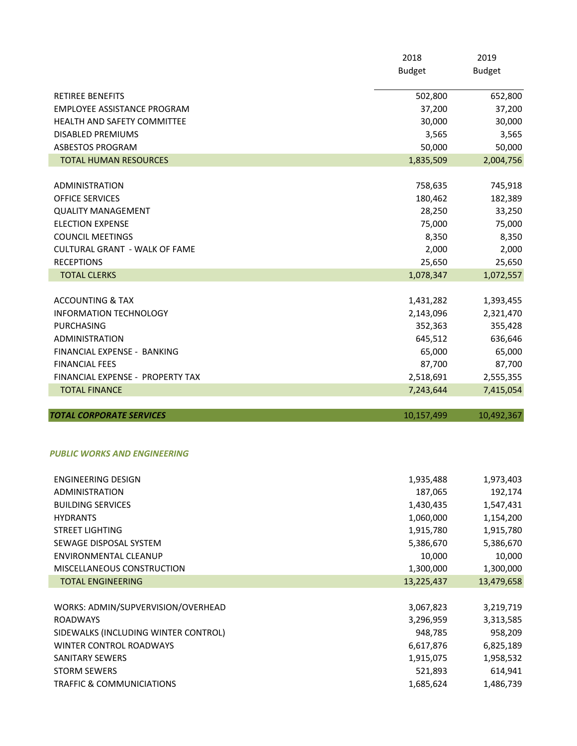|                                                                 | 2018                 | 2019                 |
|-----------------------------------------------------------------|----------------------|----------------------|
|                                                                 | <b>Budget</b>        | <b>Budget</b>        |
| <b>RETIREE BENEFITS</b>                                         | 502,800              | 652,800              |
| <b>EMPLOYEE ASSISTANCE PROGRAM</b>                              | 37,200               | 37,200               |
| <b>HEALTH AND SAFETY COMMITTEE</b>                              | 30,000               | 30,000               |
| <b>DISABLED PREMIUMS</b>                                        | 3,565                | 3,565                |
| <b>ASBESTOS PROGRAM</b>                                         | 50,000               | 50,000               |
| <b>TOTAL HUMAN RESOURCES</b>                                    | 1,835,509            | 2,004,756            |
|                                                                 |                      |                      |
| ADMINISTRATION                                                  | 758,635              | 745,918              |
| OFFICE SERVICES                                                 | 180,462              | 182,389              |
| <b>QUALITY MANAGEMENT</b>                                       | 28,250               | 33,250               |
| <b>ELECTION EXPENSE</b>                                         | 75,000               | 75,000               |
| <b>COUNCIL MEETINGS</b>                                         | 8,350                | 8,350                |
| <b>CULTURAL GRANT - WALK OF FAME</b>                            | 2,000                | 2,000                |
| <b>RECEPTIONS</b>                                               | 25,650               | 25,650               |
| <b>TOTAL CLERKS</b>                                             | 1,078,347            | 1,072,557            |
| <b>ACCOUNTING &amp; TAX</b>                                     | 1,431,282            | 1,393,455            |
| <b>INFORMATION TECHNOLOGY</b>                                   | 2,143,096            | 2,321,470            |
| <b>PURCHASING</b>                                               | 352,363              | 355,428              |
| <b>ADMINISTRATION</b>                                           | 645,512              | 636,646              |
| FINANCIAL EXPENSE - BANKING                                     | 65,000               | 65,000               |
| <b>FINANCIAL FEES</b>                                           | 87,700               | 87,700               |
| FINANCIAL EXPENSE - PROPERTY TAX                                | 2,518,691            | 2,555,355            |
| <b>TOTAL FINANCE</b>                                            | 7,243,644            | 7,415,054            |
| <b>TOTAL CORPORATE SERVICES</b>                                 | 10,157,499           | 10,492,367           |
|                                                                 |                      |                      |
| PUBLIC WORKS AND ENGINEERING                                    |                      |                      |
| <b>ENGINEERING DESIGN</b>                                       | 1,935,488            | 1,973,403            |
| <b>ADMINISTRATION</b>                                           | 187,065              | 192,174              |
| <b>BUILDING SERVICES</b>                                        | 1,430,435            | 1,547,431            |
| <b>HYDRANTS</b>                                                 | 1,060,000            | 1,154,200            |
| <b>STREET LIGHTING</b>                                          | 1,915,780            | 1,915,780            |
| SEWAGE DISPOSAL SYSTEM                                          | 5,386,670            | 5,386,670            |
| ENVIRONMENTAL CLEANUP                                           | 10,000               | 10,000               |
| MISCELLANEOUS CONSTRUCTION                                      | 1,300,000            | 1,300,000            |
| <b>TOTAL ENGINEERING</b>                                        | 13,225,437           | 13,479,658           |
|                                                                 |                      |                      |
| WORKS: ADMIN/SUPVERVISION/OVERHEAD                              | 3,067,823            | 3,219,719            |
| <b>ROADWAYS</b>                                                 | 3,296,959<br>948,785 | 3,313,585            |
| SIDEWALKS (INCLUDING WINTER CONTROL)<br>WINTER CONTROL ROADWAYS | 6,617,876            | 958,209<br>6,825,189 |
| <b>SANITARY SEWERS</b>                                          | 1,915,075            | 1,958,532            |
|                                                                 |                      |                      |

STORM SEWERS 614,941 TRAFFIC & COMMUNICIATIONS 1,685,624 1,486,739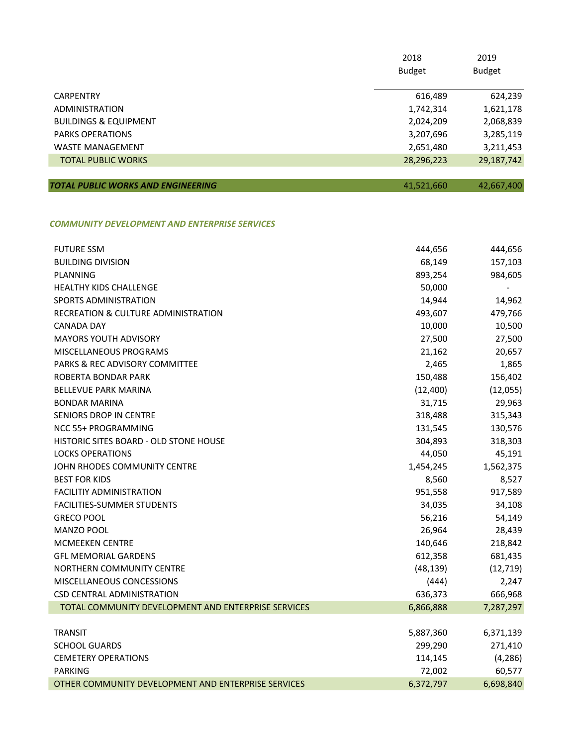|                                  | 2018<br><b>Budget</b> | 2019<br><b>Budget</b> |
|----------------------------------|-----------------------|-----------------------|
| <b>CARPENTRY</b>                 | 616,489               | 624,239               |
| ADMINISTRATION                   | 1,742,314             | 1,621,178             |
| <b>BUILDINGS &amp; EQUIPMENT</b> | 2,024,209             | 2,068,839             |
| <b>PARKS OPERATIONS</b>          | 3,207,696             | 3,285,119             |
| <b>WASTE MANAGEMENT</b>          | 2,651,480             | 3,211,453             |
| <b>TOTAL PUBLIC WORKS</b>        | 28,296,223            | 29,187,742            |
|                                  |                       |                       |

| <b>TOTAL PUBLIC WORKS AND ENGINEERING</b> | 41,521,660 | 42,667,400 |
|-------------------------------------------|------------|------------|
|                                           |            |            |

## *COMMUNITY DEVELOPMENT AND ENTERPRISE SERVICES*

| <b>FUTURE SSM</b>                                   | 444,656   | 444,656   |
|-----------------------------------------------------|-----------|-----------|
| <b>BUILDING DIVISION</b>                            | 68,149    | 157,103   |
| <b>PLANNING</b>                                     | 893,254   | 984,605   |
| HEALTHY KIDS CHALLENGE                              | 50,000    |           |
| SPORTS ADMINISTRATION                               | 14,944    | 14,962    |
| RECREATION & CULTURE ADMINISTRATION                 | 493,607   | 479,766   |
| <b>CANADA DAY</b>                                   | 10,000    | 10,500    |
| <b>MAYORS YOUTH ADVISORY</b>                        | 27,500    | 27,500    |
| MISCELLANEOUS PROGRAMS                              | 21,162    | 20,657    |
| PARKS & REC ADVISORY COMMITTEE                      | 2,465     | 1,865     |
| ROBERTA BONDAR PARK                                 | 150,488   | 156,402   |
| <b>BELLEVUE PARK MARINA</b>                         | (12, 400) | (12,055)  |
| <b>BONDAR MARINA</b>                                | 31,715    | 29,963    |
| SENIORS DROP IN CENTRE                              | 318,488   | 315,343   |
| NCC 55+ PROGRAMMING                                 | 131,545   | 130,576   |
| HISTORIC SITES BOARD - OLD STONE HOUSE              | 304,893   | 318,303   |
| <b>LOCKS OPERATIONS</b>                             | 44,050    | 45,191    |
| JOHN RHODES COMMUNITY CENTRE                        | 1,454,245 | 1,562,375 |
| <b>BEST FOR KIDS</b>                                | 8,560     | 8,527     |
| <b>FACILITIY ADMINISTRATION</b>                     | 951,558   | 917,589   |
| FACILITIES-SUMMER STUDENTS                          | 34,035    | 34,108    |
| <b>GRECO POOL</b>                                   | 56,216    | 54,149    |
| MANZO POOL                                          | 26,964    | 28,439    |
| <b>MCMEEKEN CENTRE</b>                              | 140,646   | 218,842   |
| <b>GFL MEMORIAL GARDENS</b>                         | 612,358   | 681,435   |
| NORTHERN COMMUNITY CENTRE                           | (48, 139) | (12, 719) |
| MISCELLANEOUS CONCESSIONS                           | (444)     | 2,247     |
| CSD CENTRAL ADMINISTRATION                          | 636,373   | 666,968   |
| TOTAL COMMUNITY DEVELOPMENT AND ENTERPRISE SERVICES | 6,866,888 | 7,287,297 |
|                                                     |           |           |
| <b>TRANSIT</b>                                      | 5,887,360 | 6,371,139 |
| <b>SCHOOL GUARDS</b>                                | 299,290   | 271,410   |
| <b>CEMETERY OPERATIONS</b>                          | 114,145   | (4, 286)  |
| <b>PARKING</b>                                      | 72,002    | 60,577    |
| OTHER COMMUNITY DEVELOPMENT AND ENTERPRISE SERVICES | 6,372,797 | 6,698,840 |